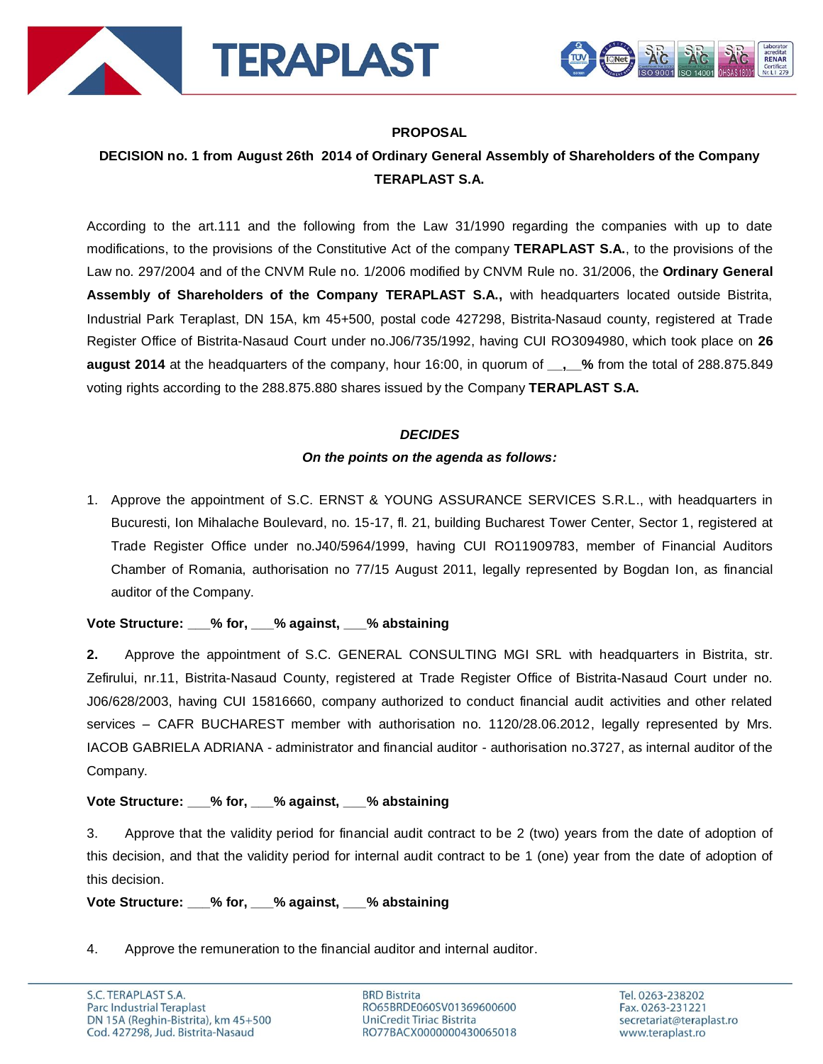



## **PROPOSAL**

# **DECISION no. 1 from August 26th 2014 of Ordinary General Assembly of Shareholders of the Company TERAPLAST S.A.**

According to the art.111 and the following from the Law 31/1990 regarding the companies with up to date modifications, to the provisions of the Constitutive Act of the company **TERAPLAST S.A.**, to the provisions of the Law no. 297/2004 and of the CNVM Rule no. 1/2006 modified by CNVM Rule no. 31/2006, the **Ordinary General Assembly of Shareholders of the Company TERAPLAST S.A.,** with headquarters located outside Bistrita, Industrial Park Teraplast, DN 15A, km 45+500, postal code 427298, Bistrita-Nasaud county, registered at Trade Register Office of Bistrita-Nasaud Court under no.J06/735/1992, having CUI RO3094980, which took place on **26 august 2014** at the headquarters of the company, hour 16:00, in quorum of **\_\_,\_\_%** from the total of 288.875.849 voting rights according to the 288.875.880 shares issued by the Company **TERAPLAST S.A.**

#### *DECIDES*

## *On the points on the agenda as follows:*

1. Approve the appointment of S.C. ERNST & YOUNG ASSURANCE SERVICES S.R.L., with headquarters in Bucuresti, Ion Mihalache Boulevard, no. 15-17, fl. 21, building Bucharest Tower Center, Sector 1, registered at Trade Register Office under no.J40/5964/1999, having CUI RO11909783, member of Financial Auditors Chamber of Romania, authorisation no 77/15 August 2011, legally represented by Bogdan Ion, as financial auditor of the Company.

# **Vote Structure: \_\_\_% for, \_\_\_% against, \_\_\_% abstaining**

**2.** Approve the appointment of S.C. GENERAL CONSULTING MGI SRL with headquarters in Bistrita, str. Zefirului, nr.11, Bistrita-Nasaud County, registered at Trade Register Office of Bistrita-Nasaud Court under no. J06/628/2003, having CUI 15816660, company authorized to conduct financial audit activities and other related services – CAFR BUCHAREST member with authorisation no. 1120/28.06.2012, legally represented by Mrs. IACOB GABRIELA ADRIANA - administrator and financial auditor - authorisation no.3727, as internal auditor of the Company.

# **Vote Structure: \_\_\_% for, \_\_\_% against, \_\_\_% abstaining**

3. Approve that the validity period for financial audit contract to be 2 (two) years from the date of adoption of this decision, and that the validity period for internal audit contract to be 1 (one) year from the date of adoption of this decision.

**Vote Structure: \_\_\_% for, \_\_\_% against, \_\_\_% abstaining**

4. Approve the remuneration to the financial auditor and internal auditor.